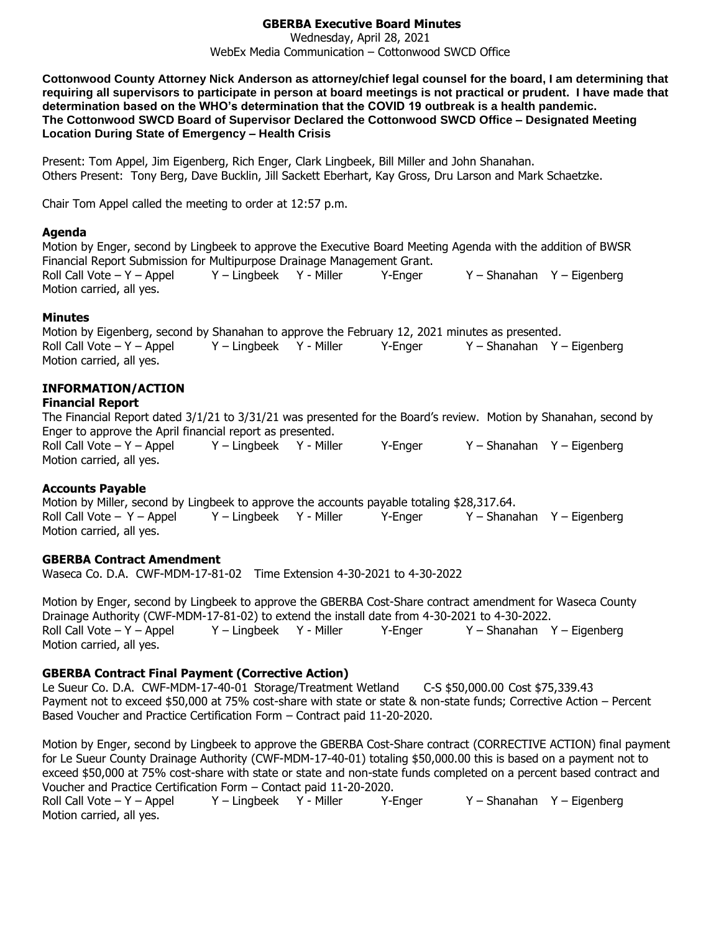# **GBERBA Executive Board Minutes**

Wednesday, April 28, 2021 WebEx Media Communication – Cottonwood SWCD Office

**Cottonwood County Attorney Nick Anderson as attorney/chief legal counsel for the board, I am determining that requiring all supervisors to participate in person at board meetings is not practical or prudent. I have made that determination based on the WHO's determination that the COVID 19 outbreak is a health pandemic. The Cottonwood SWCD Board of Supervisor Declared the Cottonwood SWCD Office – Designated Meeting Location During State of Emergency – Health Crisis**

Present: Tom Appel, Jim Eigenberg, Rich Enger, Clark Lingbeek, Bill Miller and John Shanahan. Others Present: Tony Berg, Dave Bucklin, Jill Sackett Eberhart, Kay Gross, Dru Larson and Mark Schaetzke.

Chair Tom Appel called the meeting to order at 12:57 p.m.

### **Agenda**

Motion by Enger, second by Lingbeek to approve the Executive Board Meeting Agenda with the addition of BWSR Financial Report Submission for Multipurpose Drainage Management Grant. Roll Call Vote – Y – Appel Y – Lingbeek Y - Miller Y-Enger Y – Shanahan Y – Eigenberg Motion carried, all yes.

## **Minutes**

Motion by Eigenberg, second by Shanahan to approve the February 12, 2021 minutes as presented. Roll Call Vote – Y – Appel Y – Lingbeek Y - Miller Y-Enger Y – Shanahan Y – Eigenberg Motion carried, all yes.

## **INFORMATION/ACTION**

# **Financial Report**

The Financial Report dated 3/1/21 to 3/31/21 was presented for the Board's review. Motion by Shanahan, second by Enger to approve the April financial report as presented. Roll Call Vote – Y – Appel Y – Lingbeek Y - Miller Y - Enger Y – Shanahan Y – Eigenberg

Motion carried, all yes.

## **Accounts Payable**

Motion by Miller, second by Lingbeek to approve the accounts payable totaling \$28,317.64. Roll Call Vote – Y – Appel Y – Lingbeek Y - Miller Y - Enger Y – Shanahan Y – Eigenberg Motion carried, all yes.

## **GBERBA Contract Amendment**

Waseca Co. D.A. CWF-MDM-17-81-02 Time Extension 4-30-2021 to 4-30-2022

Motion by Enger, second by Lingbeek to approve the GBERBA Cost-Share contract amendment for Waseca County Drainage Authority (CWF-MDM-17-81-02) to extend the install date from 4-30-2021 to 4-30-2022. Roll Call Vote – Y – Appel Y – Lingbeek Y - Miller Y-Enger Y – Shanahan Y – Eigenberg Motion carried, all yes.

# **GBERBA Contract Final Payment (Corrective Action)**

Le Sueur Co. D.A. CWF-MDM-17-40-01 Storage/Treatment Wetland C-S \$50,000.00 Cost \$75,339.43 Payment not to exceed \$50,000 at 75% cost-share with state or state & non-state funds; Corrective Action – Percent Based Voucher and Practice Certification Form – Contract paid 11-20-2020.

Motion by Enger, second by Lingbeek to approve the GBERBA Cost-Share contract (CORRECTIVE ACTION) final payment for Le Sueur County Drainage Authority (CWF-MDM-17-40-01) totaling \$50,000.00 this is based on a payment not to exceed \$50,000 at 75% cost-share with state or state and non-state funds completed on a percent based contract and Voucher and Practice Certification Form – Contact paid 11-20-2020.

Roll Call Vote – Y – Appel Y – Lingbeek Y - Miller Y-Enger Y – Shanahan Y – Eigenberg Motion carried, all yes.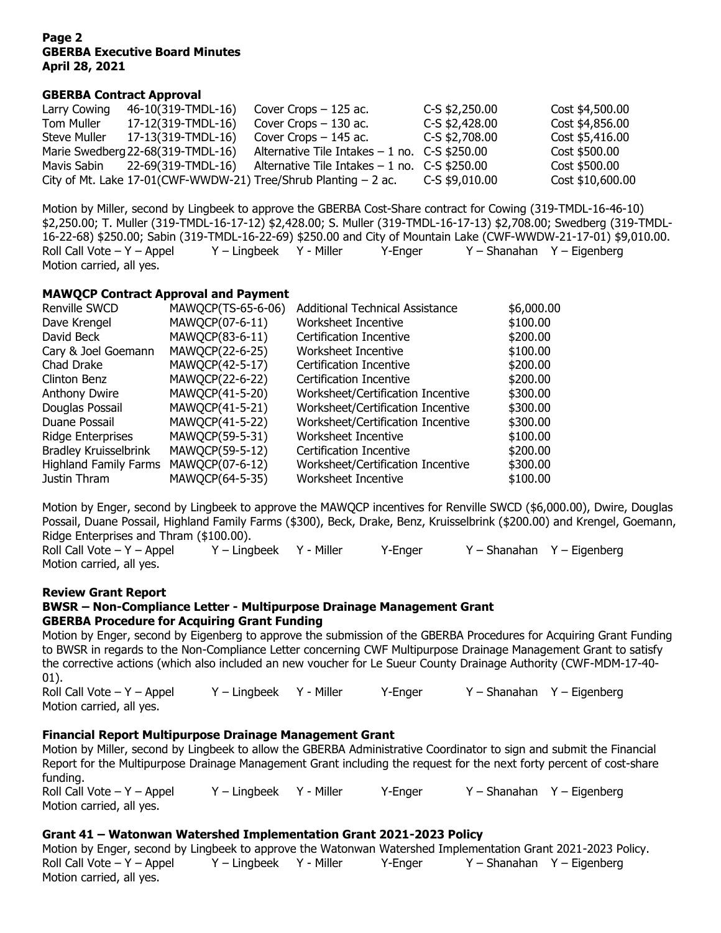### **Page 2 GBERBA Executive Board Minutes April 28, 2021**

### **GBERBA Contract Approval**

| Larry Cowing | 46-10(319-TMDL-16)                | Cover Crops $-125$ ac.                                              | C-S \$2,250.00   | Cost \$4,500.00  |
|--------------|-----------------------------------|---------------------------------------------------------------------|------------------|------------------|
| Tom Muller   | 17-12(319-TMDL-16)                | Cover Crops $-130$ ac.                                              | $C-S$ \$2,428.00 | Cost \$4,856.00  |
| Steve Muller | 17-13(319-TMDL-16)                | Cover Crops $-145$ ac.                                              | C-S \$2,708.00   | Cost \$5,416.00  |
|              | Marie Swedberg 22-68(319-TMDL-16) | Alternative Tile Intakes $-1$ no. C-S \$250.00                      |                  | Cost \$500.00    |
| Mavis Sabin  | 22-69(319-TMDL-16)                | Alternative Tile Intakes $-1$ no. C-S \$250.00                      |                  | Cost \$500.00    |
|              |                                   | City of Mt. Lake $17-01$ (CWF-WWDW-21) Tree/Shrub Planting $-2$ ac. | C-S \$9,010.00   | Cost \$10,600.00 |

Motion by Miller, second by Lingbeek to approve the GBERBA Cost-Share contract for Cowing (319-TMDL-16-46-10) \$2,250.00; T. Muller (319-TMDL-16-17-12) \$2,428.00; S. Muller (319-TMDL-16-17-13) \$2,708.00; Swedberg (319-TMDL-16-22-68) \$250.00; Sabin (319-TMDL-16-22-69) \$250.00 and City of Mountain Lake (CWF-WWDW-21-17-01) \$9,010.00. Roll Call Vote – Y – Appel Y – Lingbeek Y - Miller Y-Enger Y – Shanahan Y – Eigenberg Motion carried, all yes.

### **MAWQCP Contract Approval and Payment**

| Renville SWCD                | MAWQCP(TS-65-6-06) | <b>Additional Technical Assistance</b> | \$6,000.00 |
|------------------------------|--------------------|----------------------------------------|------------|
| Dave Krengel                 | MAWQCP(07-6-11)    | Worksheet Incentive                    | \$100.00   |
| David Beck                   | MAWQCP(83-6-11)    | Certification Incentive                | \$200.00   |
| Cary & Joel Goemann          | MAWQCP(22-6-25)    | Worksheet Incentive                    | \$100.00   |
| Chad Drake                   | MAWQCP(42-5-17)    | Certification Incentive                | \$200.00   |
| Clinton Benz                 | MAWQCP(22-6-22)    | Certification Incentive                | \$200.00   |
| <b>Anthony Dwire</b>         | MAWQCP(41-5-20)    | Worksheet/Certification Incentive      | \$300.00   |
| Douglas Possail              | MAWQCP(41-5-21)    | Worksheet/Certification Incentive      | \$300.00   |
| Duane Possail                | MAWQCP(41-5-22)    | Worksheet/Certification Incentive      | \$300.00   |
| <b>Ridge Enterprises</b>     | MAWQCP(59-5-31)    | Worksheet Incentive                    | \$100.00   |
| <b>Bradley Kruisselbrink</b> | MAWQCP(59-5-12)    | Certification Incentive                | \$200.00   |
| <b>Highland Family Farms</b> | MAWQCP(07-6-12)    | Worksheet/Certification Incentive      | \$300.00   |
| Justin Thram                 | MAWQCP(64-5-35)    | Worksheet Incentive                    | \$100.00   |

Motion by Enger, second by Lingbeek to approve the MAWQCP incentives for Renville SWCD (\$6,000.00), Dwire, Douglas Possail, Duane Possail, Highland Family Farms (\$300), Beck, Drake, Benz, Kruisselbrink (\$200.00) and Krengel, Goemann, Ridge Enterprises and Thram (\$100.00).

Roll Call Vote – Y – Appel Y – Lingbeek Y - Miller Y-Enger Y – Shanahan Y – Eigenberg Motion carried, all yes.

### **Review Grant Report**

#### **BWSR – Non-Compliance Letter - Multipurpose Drainage Management Grant GBERBA Procedure for Acquiring Grant Funding**

Motion by Enger, second by Eigenberg to approve the submission of the GBERBA Procedures for Acquiring Grant Funding to BWSR in regards to the Non-Compliance Letter concerning CWF Multipurpose Drainage Management Grant to satisfy the corrective actions (which also included an new voucher for Le Sueur County Drainage Authority (CWF-MDM-17-40- 01).

Roll Call Vote – Y – Appel Y – Lingbeek Y - Miller Y-Enger Y – Shanahan Y – Eigenberg Motion carried, all yes.

## **Financial Report Multipurpose Drainage Management Grant**

Motion by Miller, second by Lingbeek to allow the GBERBA Administrative Coordinator to sign and submit the Financial Report for the Multipurpose Drainage Management Grant including the request for the next forty percent of cost-share funding. Roll Call Vote – Y – Appel Y – Lingbeek Y - Miller Y-Enger Y – Shanahan Y – Eigenberg Motion carried, all yes.

## **Grant 41 – Watonwan Watershed Implementation Grant 2021-2023 Policy**

Motion by Enger, second by Lingbeek to approve the Watonwan Watershed Implementation Grant 2021-2023 Policy. Roll Call Vote – Y – Appel Y – Lingbeek Y - Miller Y-Enger Y – Shanahan Y – Eigenberg Motion carried, all yes.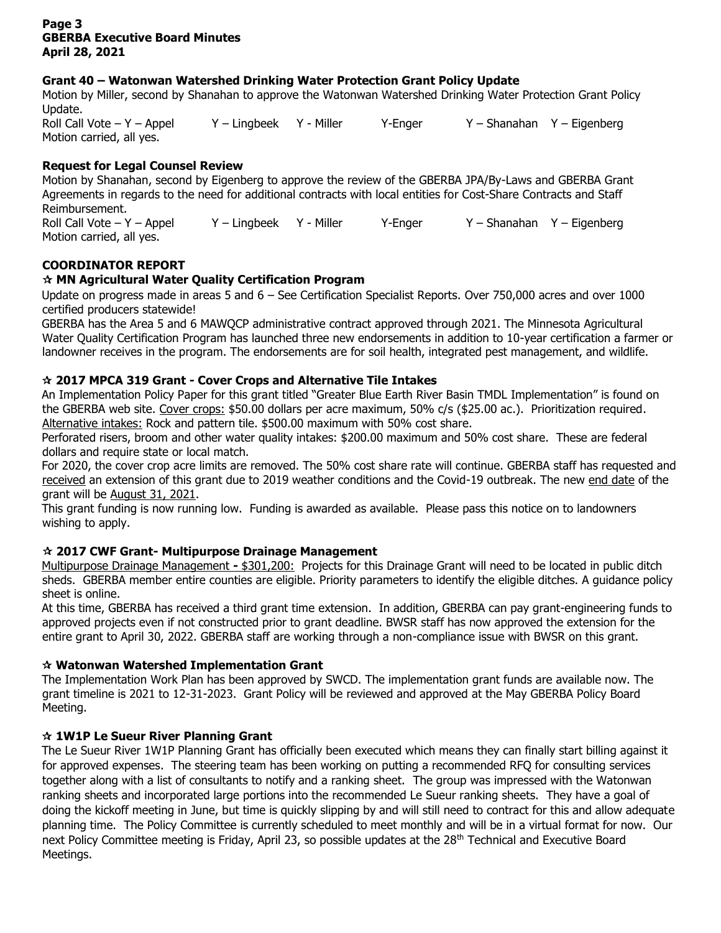## **Page 3 GBERBA Executive Board Minutes April 28, 2021**

# **Grant 40 – Watonwan Watershed Drinking Water Protection Grant Policy Update**

Motion by Miller, second by Shanahan to approve the Watonwan Watershed Drinking Water Protection Grant Policy Update.

Roll Call Vote – Y – Appel Y – Lingbeek Y - Miller Y - Enger Y – Shanahan Y – Eigenberg Motion carried, all yes.

# **Request for Legal Counsel Review**

Motion by Shanahan, second by Eigenberg to approve the review of the GBERBA JPA/By-Laws and GBERBA Grant Agreements in regards to the need for additional contracts with local entities for Cost-Share Contracts and Staff Reimbursement. Roll Call Vote – Y – Appel Y – Lingbeek Y - Miller Y-Enger Y – Shanahan Y – Eigenberg Motion carried, all yes.

# **COORDINATOR REPORT**

## **MN Agricultural Water Quality Certification Program**

Update on progress made in areas 5 and 6 – See Certification Specialist Reports. Over 750,000 acres and over 1000 certified producers statewide!

GBERBA has the Area 5 and 6 MAWQCP administrative contract approved through 2021. The Minnesota Agricultural Water Quality Certification Program has launched three new endorsements in addition to 10-year certification a farmer or landowner receives in the program. The endorsements are for soil health, integrated pest management, and wildlife.

## **2017 MPCA 319 Grant - Cover Crops and Alternative Tile Intakes**

An Implementation Policy Paper for this grant titled "Greater Blue Earth River Basin TMDL Implementation" is found on the GBERBA web site. Cover crops: \$50.00 dollars per acre maximum, 50% c/s (\$25.00 ac.). Prioritization required. Alternative intakes: Rock and pattern tile. \$500.00 maximum with 50% cost share.

Perforated risers, broom and other water quality intakes: \$200.00 maximum and 50% cost share. These are federal dollars and require state or local match.

For 2020, the cover crop acre limits are removed. The 50% cost share rate will continue. GBERBA staff has requested and received an extension of this grant due to 2019 weather conditions and the Covid-19 outbreak. The new end date of the grant will be August 31, 2021.

This grant funding is now running low. Funding is awarded as available. Please pass this notice on to landowners wishing to apply.

## **2017 CWF Grant- Multipurpose Drainage Management**

Multipurpose Drainage Management **-** \$301,200: Projects for this Drainage Grant will need to be located in public ditch sheds. GBERBA member entire counties are eligible. Priority parameters to identify the eligible ditches. A guidance policy sheet is online.

At this time, GBERBA has received a third grant time extension. In addition, GBERBA can pay grant-engineering funds to approved projects even if not constructed prior to grant deadline. BWSR staff has now approved the extension for the entire grant to April 30, 2022. GBERBA staff are working through a non-compliance issue with BWSR on this grant.

## **Watonwan Watershed Implementation Grant**

The Implementation Work Plan has been approved by SWCD. The implementation grant funds are available now. The grant timeline is 2021 to 12-31-2023. Grant Policy will be reviewed and approved at the May GBERBA Policy Board Meeting.

## **1W1P Le Sueur River Planning Grant**

The Le Sueur River 1W1P Planning Grant has officially been executed which means they can finally start billing against it for approved expenses. The steering team has been working on putting a recommended RFQ for consulting services together along with a list of consultants to notify and a ranking sheet. The group was impressed with the Watonwan ranking sheets and incorporated large portions into the recommended Le Sueur ranking sheets. They have a goal of doing the kickoff meeting in June, but time is quickly slipping by and will still need to contract for this and allow adequate planning time. The Policy Committee is currently scheduled to meet monthly and will be in a virtual format for now. Our next Policy Committee meeting is Friday, April 23, so possible updates at the 28<sup>th</sup> Technical and Executive Board Meetings.